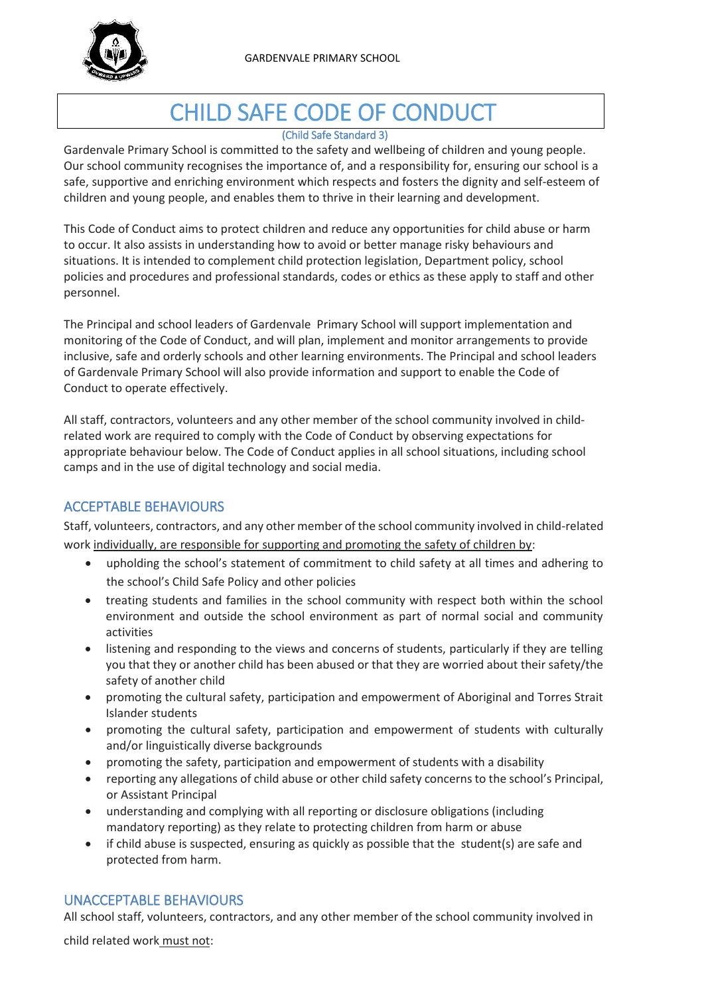

# CHILD SAFE CODE OF CONDUCT

#### (Child Safe Standard 3)

Gardenvale Primary School is committed to the safety and wellbeing of children and young people. Our school community recognises the importance of, and a responsibility for, ensuring our school is a safe, supportive and enriching environment which respects and fosters the dignity and self-esteem of children and young people, and enables them to thrive in their learning and development.

This Code of Conduct aims to protect children and reduce any opportunities for child abuse or harm to occur. It also assists in understanding how to avoid or better manage risky behaviours and situations. It is intended to complement child protection legislation, Department policy, school policies and procedures and professional standards, codes or ethics as these apply to staff and other personnel.

The Principal and school leaders of Gardenvale Primary School will support implementation and monitoring of the Code of Conduct, and will plan, implement and monitor arrangements to provide inclusive, safe and orderly schools and other learning environments. The Principal and school leaders of Gardenvale Primary School will also provide information and support to enable the Code of Conduct to operate effectively.

All staff, contractors, volunteers and any other member of the school community involved in childrelated work are required to comply with the Code of Conduct by observing expectations for appropriate behaviour below. The Code of Conduct applies in all school situations, including school camps and in the use of digital technology and social media.

# ACCEPTABLE BEHAVIOURS

Staff, volunteers, contractors, and any other member of the school community involved in child-related work individually, are responsible for supporting and promoting the safety of children by:

- upholding the school's statement of commitment to child safety at all times and adhering to the school's Child Safe Policy and other policies
- treating students and families in the school community with respect both within the school environment and outside the school environment as part of normal social and community activities
- listening and responding to the views and concerns of students, particularly if they are telling you that they or another child has been abused or that they are worried about their safety/the safety of another child
- promoting the cultural safety, participation and empowerment of Aboriginal and Torres Strait Islander students
- promoting the cultural safety, participation and empowerment of students with culturally and/or linguistically diverse backgrounds
- promoting the safety, participation and empowerment of students with a disability
- reporting any allegations of child abuse or other child safety concerns to the school's Principal, or Assistant Principal
- understanding and complying with all reporting or disclosure obligations (including mandatory reporting) as they relate to protecting children from harm or abuse
- if child abuse is suspected, ensuring as quickly as possible that the student(s) are safe and protected from harm.

### UNACCEPTABLE BEHAVIOURS

All school staff, volunteers, contractors, and any other member of the school community involved in

child related work must not: